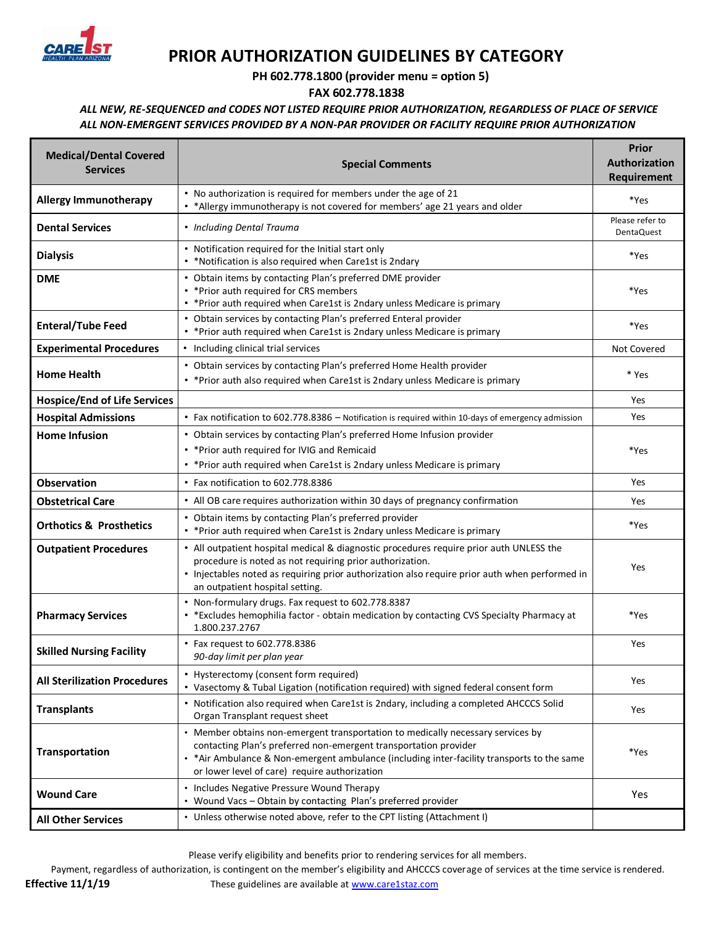

## **PRIOR AUTHORIZATION GUIDELINES BY CATEGORY**

 **PH 602.778.1800 (provider menu = option 5)** 

**FAX 602.778.1838**

*ALL NEW, RE-SEQUENCED and CODES NOT LISTED REQUIRE PRIOR AUTHORIZATION, REGARDLESS OF PLACE OF SERVICE ALL NON-EMERGENT SERVICES PROVIDED BY A NON-PAR PROVIDER OR FACILITY REQUIRE PRIOR AUTHORIZATION*

| <b>Medical/Dental Covered</b><br><b>Services</b> | <b>Special Comments</b>                                                                                                                                                                                                                                                                             | <b>Prior</b><br><b>Authorization</b><br>Requirement |
|--------------------------------------------------|-----------------------------------------------------------------------------------------------------------------------------------------------------------------------------------------------------------------------------------------------------------------------------------------------------|-----------------------------------------------------|
| <b>Allergy Immunotherapy</b>                     | • No authorization is required for members under the age of 21<br>• *Allergy immunotherapy is not covered for members' age 21 years and older                                                                                                                                                       | *Yes                                                |
| <b>Dental Services</b>                           | • Including Dental Trauma                                                                                                                                                                                                                                                                           | Please refer to<br><b>DentaQuest</b>                |
| <b>Dialysis</b>                                  | • Notification required for the Initial start only<br>• *Notification is also required when Care1st is 2ndary                                                                                                                                                                                       | *Yes                                                |
| <b>DME</b>                                       | • Obtain items by contacting Plan's preferred DME provider<br>• * Prior auth required for CRS members<br>• * Prior auth required when Care1st is 2ndary unless Medicare is primary                                                                                                                  | *Yes                                                |
| <b>Enteral/Tube Feed</b>                         | • Obtain services by contacting Plan's preferred Enteral provider<br>• * Prior auth required when Care1st is 2ndary unless Medicare is primary                                                                                                                                                      | *Yes                                                |
| <b>Experimental Procedures</b>                   | • Including clinical trial services                                                                                                                                                                                                                                                                 | Not Covered                                         |
| <b>Home Health</b>                               | • Obtain services by contacting Plan's preferred Home Health provider<br>• * Prior auth also required when Care1st is 2ndary unless Medicare is primary                                                                                                                                             | * Yes                                               |
| <b>Hospice/End of Life Services</b>              |                                                                                                                                                                                                                                                                                                     | Yes                                                 |
| <b>Hospital Admissions</b>                       | • Fax notification to 602.778.8386 - Notification is required within 10-days of emergency admission                                                                                                                                                                                                 | Yes                                                 |
| <b>Home Infusion</b>                             | • Obtain services by contacting Plan's preferred Home Infusion provider<br>• * Prior auth required for IVIG and Remicaid<br>• * Prior auth required when Care1st is 2ndary unless Medicare is primary                                                                                               | *Yes                                                |
| <b>Observation</b>                               | • Fax notification to 602.778.8386                                                                                                                                                                                                                                                                  | Yes                                                 |
| <b>Obstetrical Care</b>                          | • All OB care requires authorization within 30 days of pregnancy confirmation                                                                                                                                                                                                                       | Yes                                                 |
| <b>Orthotics &amp; Prosthetics</b>               | • Obtain items by contacting Plan's preferred provider<br>• * Prior auth required when Care1st is 2ndary unless Medicare is primary                                                                                                                                                                 | *Yes                                                |
| <b>Outpatient Procedures</b>                     | • All outpatient hospital medical & diagnostic procedures require prior auth UNLESS the<br>procedure is noted as not requiring prior authorization.<br>• Injectables noted as requiring prior authorization also require prior auth when performed in<br>an outpatient hospital setting.            | <b>Yes</b>                                          |
| <b>Pharmacy Services</b>                         | • Non-formulary drugs. Fax request to 602.778.8387<br>• * Excludes hemophilia factor - obtain medication by contacting CVS Specialty Pharmacy at<br>1.800.237.2767                                                                                                                                  | *Yes                                                |
| <b>Skilled Nursing Facility</b>                  | • Fax request to 602.778.8386<br>90-day limit per plan year                                                                                                                                                                                                                                         | Yes                                                 |
| <b>All Sterilization Procedures</b>              | • Hysterectomy (consent form required)<br>• Vasectomy & Tubal Ligation (notification required) with signed federal consent form                                                                                                                                                                     | Yes                                                 |
| <b>Transplants</b>                               | • Notification also required when Care1st is 2ndary, including a completed AHCCCS Solid<br>Organ Transplant request sheet                                                                                                                                                                           | Yes                                                 |
| <b>Transportation</b>                            | • Member obtains non-emergent transportation to medically necessary services by<br>contacting Plan's preferred non-emergent transportation provider<br>• * Air Ambulance & Non-emergent ambulance (including inter-facility transports to the same<br>or lower level of care) require authorization | *Yes                                                |
| <b>Wound Care</b>                                | • Includes Negative Pressure Wound Therapy<br>• Wound Vacs - Obtain by contacting Plan's preferred provider                                                                                                                                                                                         | Yes                                                 |
| <b>All Other Services</b>                        | • Unless otherwise noted above, refer to the CPT listing (Attachment I)                                                                                                                                                                                                                             |                                                     |

Please verify eligibility and benefits prior to rendering services for all members.

Payment, regardless of authorization, is contingent on the member's eligibility and AHCCCS coverage of services at the time service is rendered.